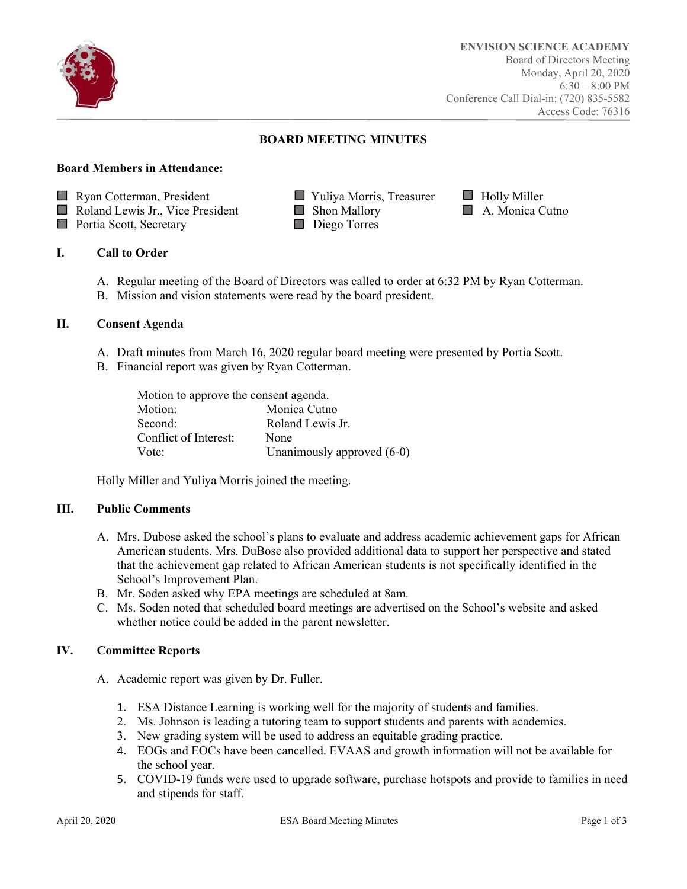

# **BOARD MEETING MINUTES**

## **Board Members in Attendance:**

**Ryan Cotterman, President Figure 1.1 Vuliva Morris, Treasurer Figure Holly Miller** 

**Roland Lewis Jr., Vice President Communist Communist Communist Communist Communist Communist Communist Communist Communist Communist Communist Communist Communist Communist Communist Communist Communist Communist Communis** 

- Portia Scott, Secretary Diego Torres
- 
- 

# **I. Call to Order**

- A. Regular meeting of the Board of Directors was called to order at 6:32 PM by Ryan Cotterman.
- B. Mission and vision statements were read by the board president.

#### **II. Consent Agenda**

- A. Draft minutes from March 16, 2020 regular board meeting were presented by Portia Scott.
- B. Financial report was given by Ryan Cotterman.

| Motion to approve the consent agenda. |                            |  |
|---------------------------------------|----------------------------|--|
| Motion:                               | Monica Cutno               |  |
| Second:                               | Roland Lewis Jr.           |  |
| Conflict of Interest:                 | None                       |  |
| Vote:                                 | Unanimously approved (6-0) |  |

Holly Miller and Yuliya Morris joined the meeting.

## **III. Public Comments**

- A. Mrs. Dubose asked the school's plans to evaluate and address academic achievement gaps for African American students. Mrs. DuBose also provided additional data to support her perspective and stated that the achievement gap related to African American students is not specifically identified in the School's Improvement Plan.
- B. Mr. Soden asked why EPA meetings are scheduled at 8am.
- C. Ms. Soden noted that scheduled board meetings are advertised on the School's website and asked whether notice could be added in the parent newsletter.

# **IV. Committee Reports**

- A. Academic report was given by Dr. Fuller.
	- 1. ESA Distance Learning is working well for the majority of students and families.
	- 2. Ms. Johnson is leading a tutoring team to support students and parents with academics.
	- 3. New grading system will be used to address an equitable grading practice.
	- 4. EOGs and EOCs have been cancelled. EVAAS and growth information will not be available for the school year.
	- 5. COVID-19 funds were used to upgrade software, purchase hotspots and provide to families in need and stipends for staff.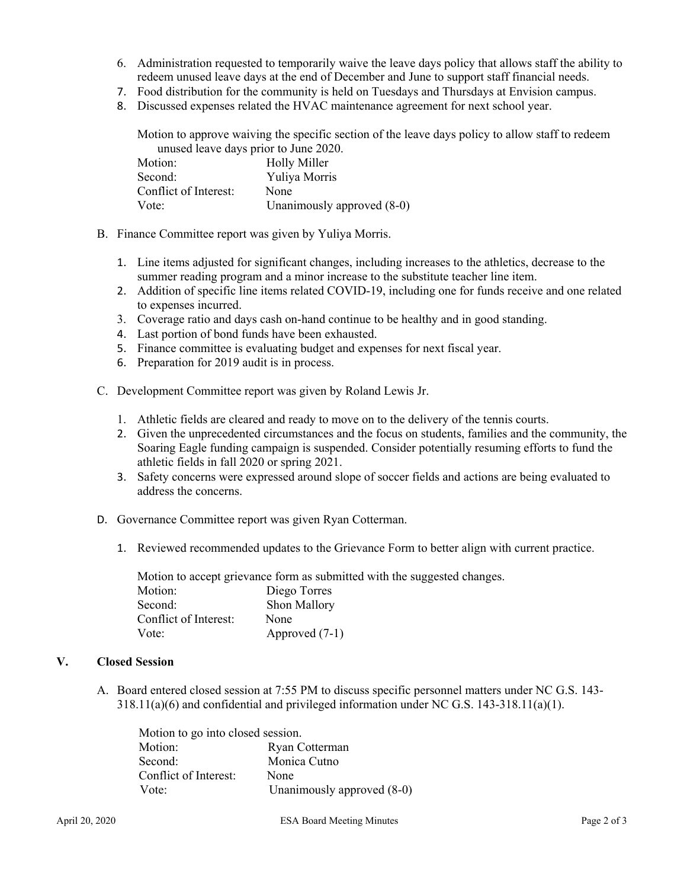- 6. Administration requested to temporarily waive the leave days policy that allows staff the ability to redeem unused leave days at the end of December and June to support staff financial needs.
- 7. Food distribution for the community is held on Tuesdays and Thursdays at Envision campus.
- 8. Discussed expenses related the HVAC maintenance agreement for next school year.

Motion to approve waiving the specific section of the leave days policy to allow staff to redeem unused leave days prior to June 2020.

| Motion:               | <b>Holly Miller</b>          |
|-----------------------|------------------------------|
| Second:               | Yuliya Morris                |
| Conflict of Interest: | None                         |
| Vote:                 | Unanimously approved $(8-0)$ |

- B. Finance Committee report was given by Yuliya Morris.
	- 1. Line items adjusted for significant changes, including increases to the athletics, decrease to the summer reading program and a minor increase to the substitute teacher line item.
	- 2. Addition of specific line items related COVID-19, including one for funds receive and one related to expenses incurred.
	- 3. Coverage ratio and days cash on-hand continue to be healthy and in good standing.
	- 4. Last portion of bond funds have been exhausted.
	- 5. Finance committee is evaluating budget and expenses for next fiscal year.
	- 6. Preparation for 2019 audit is in process.
- C. Development Committee report was given by Roland Lewis Jr.
	- 1. Athletic fields are cleared and ready to move on to the delivery of the tennis courts.
	- 2. Given the unprecedented circumstances and the focus on students, families and the community, the Soaring Eagle funding campaign is suspended. Consider potentially resuming efforts to fund the athletic fields in fall 2020 or spring 2021.
	- 3. Safety concerns were expressed around slope of soccer fields and actions are being evaluated to address the concerns.
- D. Governance Committee report was given Ryan Cotterman.
	- 1. Reviewed recommended updates to the Grievance Form to better align with current practice.

Motion to accept grievance form as submitted with the suggested changes. Motion: Diego Torres Second: Shon Mallory Conflict of Interest: None Vote: Approved (7-1)

### **V. Closed Session**

A. Board entered closed session at 7:55 PM to discuss specific personnel matters under NC G.S. 143-  $318.11(a)(6)$  and confidential and privileged information under NC G.S. 143-318.11(a)(1).

| Motion to go into closed session. |                              |
|-----------------------------------|------------------------------|
| Motion:                           | Ryan Cotterman               |
| Second:                           | Monica Cutno                 |
| Conflict of Interest:             | None                         |
| Vote:                             | Unanimously approved $(8-0)$ |